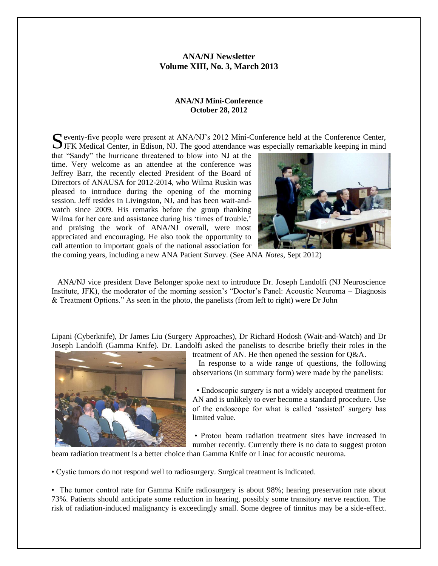## **ANA/NJ Newsletter Volume XIII, No. 3, March 2013**

#### **ANA/NJ Mini-Conference October 28, 2012**

eventy-five people were present at ANA/NJ's 2012 Mini-Conference held at the Conference Center, S eventy-five people were present at ANA/NJ's 2012 Mini-Conference held at the Conference Center, JFK Medical Center, in Edison, NJ. The good attendance was especially remarkable keeping in mind

that "Sandy" the hurricane threatened to blow into NJ at the time. Very welcome as an attendee at the conference was Jeffrey Barr, the recently elected President of the Board of Directors of ANAUSA for 2012-2014, who Wilma Ruskin was pleased to introduce during the opening of the morning session. Jeff resides in Livingston, NJ, and has been wait-andwatch since 2009. His remarks before the group thanking Wilma for her care and assistance during his 'times of trouble,' and praising the work of ANA/NJ overall, were most appreciated and encouraging. He also took the opportunity to call attention to important goals of the national association for



the coming years, including a new ANA Patient Survey. (See ANA *Notes*, Sept 2012)

 ANA/NJ vice president Dave Belonger spoke next to introduce Dr. Joseph Landolfi (NJ Neuroscience Institute, JFK), the moderator of the morning session's "Doctor's Panel: Acoustic Neuroma – Diagnosis & Treatment Options." As seen in the photo, the panelists (from left to right) were Dr John

Lipani (Cyberknife), Dr James Liu (Surgery Approaches), Dr Richard Hodosh (Wait-and-Watch) and Dr Joseph Landolfi (Gamma Knife). Dr. Landolfi asked the panelists to describe briefly their roles in the



treatment of AN. He then opened the session for Q&A.

 In response to a wide range of questions, the following observations (in summary form) were made by the panelists:

 • Endoscopic surgery is not a widely accepted treatment for AN and is unlikely to ever become a standard procedure. Use of the endoscope for what is called 'assisted' surgery has limited value.

• Proton beam radiation treatment sites have increased in number recently. Currently there is no data to suggest proton

beam radiation treatment is a better choice than Gamma Knife or Linac for acoustic neuroma.

• Cystic tumors do not respond well to radiosurgery. Surgical treatment is indicated.

• The tumor control rate for Gamma Knife radiosurgery is about 98%; hearing preservation rate about 73%. Patients should anticipate some reduction in hearing, possibly some transitory nerve reaction. The risk of radiation-induced malignancy is exceedingly small. Some degree of tinnitus may be a side-effect.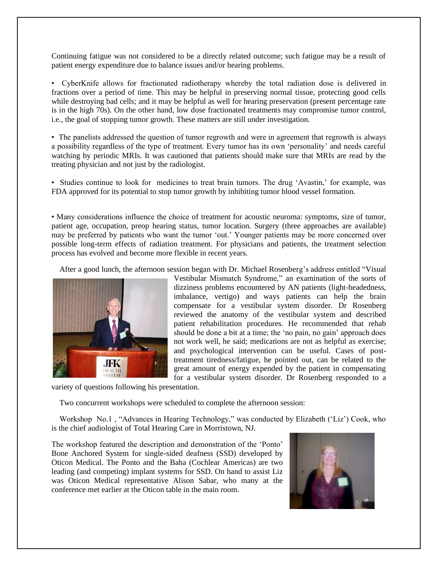Continuing fatigue was not considered to be a directly related outcome; such fatigue may be a result of patient energy expenditure due to balance issues and/or hearing problems.

• CyberKnife allows for fractionated radiotherapy whereby the total radiation dose is delivered in fractions over a period of time. This may be helpful in preserving normal tissue, protecting good cells while destroying bad cells; and it may be helpful as well for hearing preservation (present percentage rate is in the high 70s). On the other hand, low dose fractionated treatments may compromise tumor control, i.e., the goal of stopping tumor growth. These matters are still under investigation.

• The panelists addressed the question of tumor regrowth and were in agreement that regrowth is always a possibility regardless of the type of treatment. Every tumor has its own 'personality' and needs careful watching by periodic MRIs. It was cautioned that patients should make sure that MRIs are read by the treating physician and not just by the radiologist.

• Studies continue to look for medicines to treat brain tumors. The drug 'Avastin,' for example, was FDA approved for its potential to stop tumor growth by inhibiting tumor blood vessel formation.

• Many considerations influence the choice of treatment for acoustic neuroma: symptoms, size of tumor, patient age, occupation, preop hearing status, tumor location. Surgery (three approaches are available) may be preferred by patients who want the tumor 'out.' Younger patients may be more concerned over possible long-term effects of radiation treatment. For physicians and patients, the treatment selection process has evolved and become more flexible in recent years.

After a good lunch, the afternoon session began with Dr. Michael Rosenberg's address entitled "Visual



Vestibular Mismatch Syndrome," an examination of the sorts of dizziness problems encountered by AN patients (light-headedness, imbalance, vertigo) and ways patients can help the brain compensate for a vestibular system disorder. Dr Rosenberg reviewed the anatomy of the vestibular system and described patient rehabilitation procedures. He recommended that rehab should be done a bit at a time; the 'no pain, no gain' approach does not work well, he said; medications are not as helpful as exercise; and psychological intervention can be useful. Cases of posttreatment tiredness/fatigue, he pointed out, can be related to the great amount of energy expended by the patient in compensating for a vestibular system disorder. Dr Rosenberg responded to a

variety of questions following his presentation.

Two concurrent workshops were scheduled to complete the afternoon session:

 Workshop No.1 , "Advances in Hearing Technology," was conducted by Elizabeth ('Liz') Cook, who is the chief audiologist of Total Hearing Care in Morristown, NJ.

The workshop featured the description and demonstration of the 'Ponto' Bone Anchored System for single-sided deafness (SSD) developed by Oticon Medical. The Ponto and the Baha (Cochlear Americas) are two leading (and competing) implant systems for SSD. On hand to assist Liz was Oticon Medical representative Alison Sabar, who many at the conference met earlier at the Oticon table in the main room.

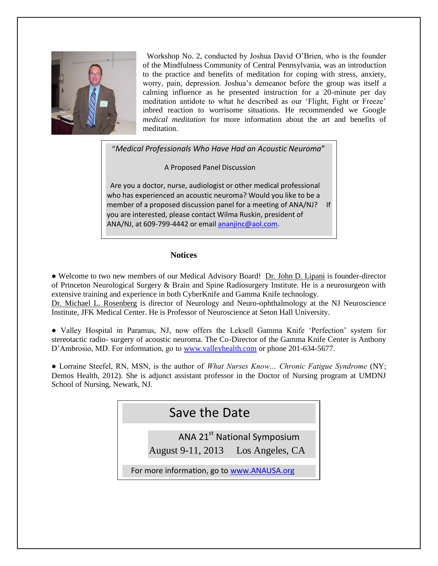

 Workshop No. 2, conducted by Joshua David O'Brien, who is the founder of the Mindfulness Community of Central Pennsylvania, was an introduction to the practice and benefits of meditation for coping with stress, anxiety, worry, pain, depression. Joshua's demeanor before the group was itself a calming influence as he presented instruction for a 20-minute per day meditation antidote to what he described as our 'Flight, Fight or Freeze' inbred reaction to worrisome situations. He recommended we Google *medical meditation* for more information about the art and benefits of meditation.

"*Medical Professionals Who Have Had an Acoustic Neuroma*"

A Proposed Panel Discussion

 Are you a doctor, nurse, audiologist or other medical professional who has experienced an acoustic neuroma? Would you like to be a member of a proposed discussion panel for a meeting of ANA/NJ? If you are interested, please contact Wilma Ruskin, president of ANA/NJ, at 609-799-4442 or email [ananjinc@aol.com.](mailto:ananjinc@aol.com)

## **Notices**

● Welcome to two new members of our Medical Advisory Board! Dr. John D. Lipani is founder-director of Princeton Neurological Surgery & Brain and Spine Radiosurgery Institute. He is a neurosurgeon with extensive training and experience in both CyberKnife and Gamma Knife technology.

Dr. Michael L. Rosenberg is director of Neurology and Neuro-ophthalmology at the NJ Neuroscience Institute, JFK Medical Center. He is Professor of Neuroscience at Seton Hall University.

● Valley Hospital in Paramus, NJ, now offers the Leksell Gamma Knife 'Perfection' system for stereotactic radio- surgery of acoustic neuroma. The Co-Director of the Gamma Knife Center is Anthony D'Ambrosio, MD. For information, go to [www.valleyhealth.com](http://www.valleyhealth.com/) or phone 201-634-5677.

● Lorraine Steefel, RN, MSN, is the author of *What Nurses Know… Chronic Fatigue Syndrome* (NY; Demos Health, 2012). She is adjunct assistant professor in the Doctor of Nursing program at UMDNJ School of Nursing, Newark, NJ.

| Save the Date                                                                |
|------------------------------------------------------------------------------|
| ANA 21 <sup>st</sup> National Symposium<br>August 9-11, 2013 Los Angeles, CA |
| For more information, go to www.ANAUSA.org                                   |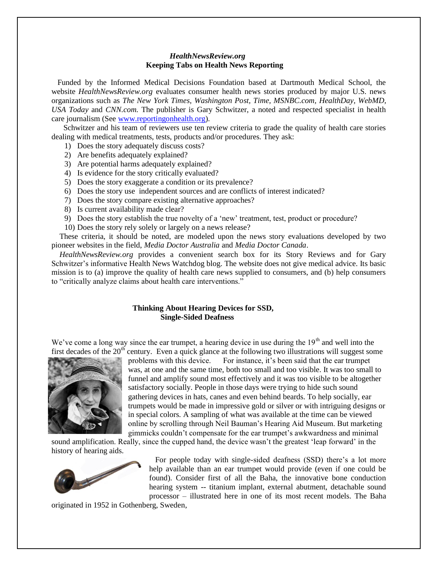#### *HealthNewsReview.org*   **Keeping Tabs on Health News Reporting**

 Funded by the Informed Medical Decisions Foundation based at Dartmouth Medical School, the website *HealthNewsReview.org* evaluates consumer health news stories produced by major U.S. news organizations such as *The New York Times, Washington Post, Time, MSNBC.com, HealthDay, WebMD, USA Today* and *CNN.com.* The publisher is Gary Schwitzer, a noted and respected specialist in health care journalism (See [www.reportingonhealth.org\)](http://www.reportingonhealth.org/).

 Schwitzer and his team of reviewers use ten review criteria to grade the quality of health care stories dealing with medical treatments, tests, products and/or procedures. They ask:

- 1) Does the story adequately discuss costs?
- 2) Are benefits adequately explained?
- 3) Are potential harms adequately explained?
- 4) Is evidence for the story critically evaluated?
- 5) Does the story exaggerate a condition or its prevalence?
- 6) Does the story use independent sources and are conflicts of interest indicated?
- 7) Does the story compare existing alternative approaches?
- 8) Is current availability made clear?
- 9) Does the story establish the true novelty of a 'new' treatment, test, product or procedure?
- 10) Does the story rely solely or largely on a news release?

 These criteria, it should be noted, are modeled upon the news story evaluations developed by two pioneer websites in the field, *Media Doctor Australia* and *Media Doctor Canada*.

 *HealthNewsReview.org* provides a convenient search box for its Story Reviews and for Gary Schwitzer's informative Health News Watchdog blog. The website does not give medical advice. Its basic mission is to (a) improve the quality of health care news supplied to consumers, and (b) help consumers to "critically analyze claims about health care interventions."

### **Thinking About Hearing Devices for SSD, Single-Sided Deafness**

We've come a long way since the ear trumpet, a hearing device in use during the  $19<sup>th</sup>$  and well into the first decades of the  $20<sup>th</sup>$  century. Even a quick glance at the following two illustrations will suggest some



problems with this device. For instance, it's been said that the ear trumpet was, at one and the same time, both too small and too visible. It was too small to funnel and amplify sound most effectively and it was too visible to be altogether satisfactory socially. People in those days were trying to hide such sound gathering devices in hats, canes and even behind beards. To help socially, ear trumpets would be made in impressive gold or silver or with intriguing designs or in special colors. A sampling of what was available at the time can be viewed online by scrolling through Neil Bauman's Hearing Aid Museum. But marketing gimmicks couldn't compensate for the ear trumpet's awkwardness and minimal

sound amplification. Really, since the cupped hand, the device wasn't the greatest 'leap forward' in the history of hearing aids.



 For people today with single-sided deafness (SSD) there's a lot more help available than an ear trumpet would provide (even if one could be found). Consider first of all the Baha, the innovative bone conduction hearing system -- titanium implant, external abutment, detachable sound processor – illustrated here in one of its most recent models. The Baha

originated in 1952 in Gothenberg, Sweden,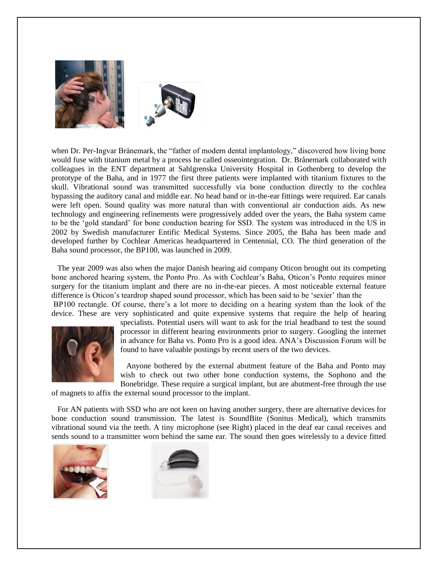

when Dr. Per-Ingvar Brånemark, the "father of modern dental implantology," discovered how living bone would fuse with titanium metal by a process he called osseointegration. Dr. Brånemark collaborated with colleagues in the ENT department at Sahlgrenska University Hospital in Gothenberg to develop the prototype of the Baha, and in 1977 the first three patients were implanted with titanium fixtures to the skull. Vibrational sound was transmitted successfully via bone conduction directly to the cochlea bypassing the auditory canal and middle ear. No head band or in-the-ear fittings were required. Ear canals were left open. Sound quality was more natural than with conventional air conduction aids. As new technology and engineering refinements were progressively added over the years, the Baha system came to be the 'gold standard' for bone conduction hearing for SSD. The system was introduced in the US in 2002 by Swedish manufacturer Entific Medical Systems. Since 2005, the Baha has been made and developed further by Cochlear Americas headquartered in Centennial, CO. The third generation of the Baha sound processor, the BP100, was launched in 2009.

 The year 2009 was also when the major Danish hearing aid company Oticon brought out its competing bone anchored hearing system, the Ponto Pro. As with Cochlear's Baha, Oticon's Ponto requires minor surgery for the titanium implant and there are no in-the-ear pieces. A most noticeable external feature difference is Oticon's teardrop shaped sound processor, which has been said to be 'sexier' than the BP100 rectangle. Of course, there's a lot more to deciding on a hearing system than the look of the device. These are very sophisticated and quite expensive systems that require the help of hearing



specialists. Potential users will want to ask for the trial headband to test the sound processor in different hearing environments prior to surgery. Googling the internet in advance for Baha vs. Ponto Pro is a good idea. ANA's Discussion Forum will be found to have valuable postings by recent users of the two devices.

 Anyone bothered by the external abutment feature of the Baha and Ponto may wish to check out two other bone conduction systems, the Sophono and the Bonebridge. These require a surgical implant, but are abutment-free through the use

of magnets to affix the external sound processor to the implant.

 For AN patients with SSD who are not keen on having another surgery, there are alternative devices for bone conduction sound transmission. The latest is SoundBite (Sonitus Medical), which transmits vibrational sound via the teeth. A tiny microphone (see Right) placed in the deaf ear canal receives and sends sound to a transmitter worn behind the same ear. The sound then goes wirelessly to a device fitted



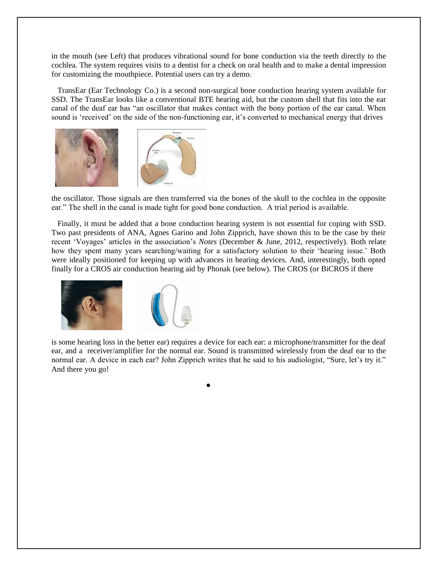in the mouth (see Left) that produces vibrational sound for bone conduction via the teeth directly to the cochlea. The system requires visits to a dentist for a check on oral health and to make a dental impression for customizing the mouthpiece. Potential users can try a demo.

 TransEar (Ear Technology Co.) is a second non-surgical bone conduction hearing system available for SSD. The TransEar looks like a conventional BTE hearing aid, but the custom shell that fits into the ear canal of the deaf ear has "an oscillator that makes contact with the bony portion of the ear canal. When sound is 'received' on the side of the non-functioning ear, it's converted to mechanical energy that drives



the oscillator. Those signals are then transferred via the bones of the skull to the cochlea in the opposite ear." The shell in the canal is made tight for good bone conduction. A trial period is available.

 Finally, it must be added that a bone conduction hearing system is not essential for coping with SSD. Two past presidents of ANA, Agnes Garino and John Zipprich, have shown this to be the case by their recent 'Voyages' articles in the association's *Notes* (December & June, 2012, respectively). Both relate how they spent many years searching/waiting for a satisfactory solution to their 'hearing issue.' Both were ideally positioned for keeping up with advances in hearing devices. And, interestingly, both opted finally for a CROS air conduction hearing aid by Phonak (see below). The CROS (or BiCROS if there



is some hearing loss in the better ear) requires a device for each ear: a microphone/transmitter for the deaf ear, and a receiver/amplifier for the normal ear. Sound is transmitted wirelessly from the deaf ear to the normal ear. A device in each ear? John Zipprich writes that he said to his audiologist, "Sure, let's try it." And there you go!

●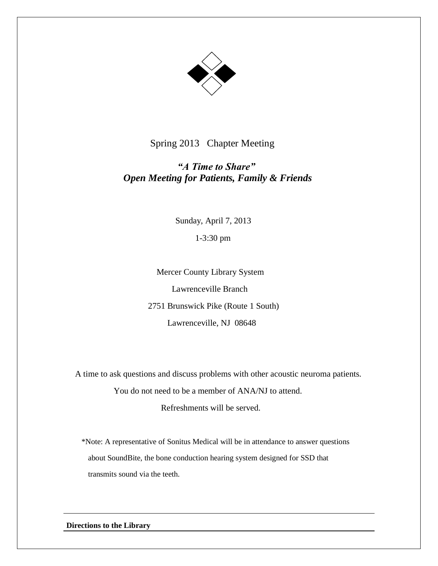

Spring 2013 Chapter Meeting

# *"A Time to Share"* *Open Meeting for Patients, Family & Friends*

 Sunday, April 7, 2013 1-3:30 pm

 Mercer County Library System Lawrenceville Branch 2751 Brunswick Pike (Route 1 South) Lawrenceville, NJ 08648

A time to ask questions and discuss problems with other acoustic neuroma patients.

You do not need to be a member of ANA/NJ to attend.

Refreshments will be served.

 \*Note: A representative of Sonitus Medical will be in attendance to answer questions about SoundBite, the bone conduction hearing system designed for SSD that transmits sound via the teeth.

**Directions to the Library**